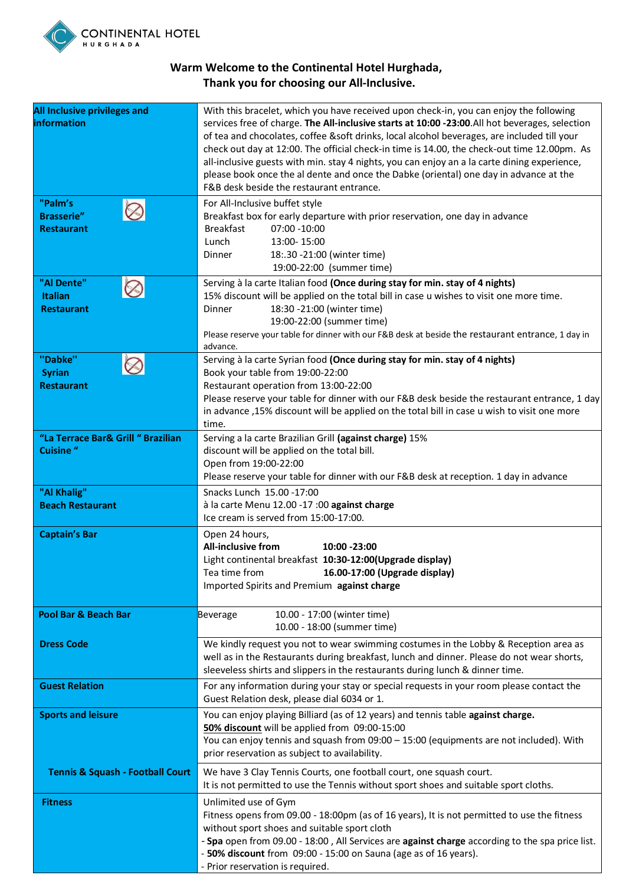

## **Warm Welcome to the Continental Hotel Hurghada, Thank you for choosing our All-Inclusive.**

| <b>All Inclusive privileges and</b><br>information     | With this bracelet, which you have received upon check-in, you can enjoy the following<br>services free of charge. The All-inclusive starts at 10:00 -23:00.All hot beverages, selection<br>of tea and chocolates, coffee &soft drinks, local alcohol beverages, are included till your<br>check out day at 12:00. The official check-in time is 14.00, the check-out time 12.00pm. As<br>all-inclusive guests with min. stay 4 nights, you can enjoy an a la carte dining experience,<br>please book once the al dente and once the Dabke (oriental) one day in advance at the<br>F&B desk beside the restaurant entrance. |
|--------------------------------------------------------|-----------------------------------------------------------------------------------------------------------------------------------------------------------------------------------------------------------------------------------------------------------------------------------------------------------------------------------------------------------------------------------------------------------------------------------------------------------------------------------------------------------------------------------------------------------------------------------------------------------------------------|
| "Palm's<br><b>Brasserie"</b><br><b>Restaurant</b>      | For All-Inclusive buffet style<br>Breakfast box for early departure with prior reservation, one day in advance<br><b>Breakfast</b><br>07:00 - 10:00<br>Lunch<br>13:00-15:00<br>18:.30 -21:00 (winter time)<br>Dinner<br>19:00-22:00 (summer time)                                                                                                                                                                                                                                                                                                                                                                           |
| "Al Dente"<br><b>Italian</b><br><b>Restaurant</b>      | Serving à la carte Italian food (Once during stay for min. stay of 4 nights)<br>15% discount will be applied on the total bill in case u wishes to visit one more time.<br>18:30 -21:00 (winter time)<br>Dinner<br>19:00-22:00 (summer time)<br>Please reserve your table for dinner with our F&B desk at beside the restaurant entrance, 1 day in<br>advance.                                                                                                                                                                                                                                                              |
| "Dabke"<br><b>Syrian</b><br><b>Restaurant</b>          | Serving à la carte Syrian food (Once during stay for min. stay of 4 nights)<br>Book your table from 19:00-22:00<br>Restaurant operation from 13:00-22:00<br>Please reserve your table for dinner with our F&B desk beside the restaurant entrance, 1 day<br>in advance ,15% discount will be applied on the total bill in case u wish to visit one more<br>time.                                                                                                                                                                                                                                                            |
| "La Terrace Bar& Grill " Brazilian<br><b>Cuisine</b> " | Serving a la carte Brazilian Grill (against charge) 15%<br>discount will be applied on the total bill.<br>Open from 19:00-22:00<br>Please reserve your table for dinner with our F&B desk at reception. 1 day in advance                                                                                                                                                                                                                                                                                                                                                                                                    |
| "Al Khalig"<br><b>Beach Restaurant</b>                 | Snacks Lunch 15.00 - 17:00<br>à la carte Menu 12.00 -17 :00 against charge<br>Ice cream is served from 15:00-17:00.                                                                                                                                                                                                                                                                                                                                                                                                                                                                                                         |
| <b>Captain's Bar</b>                                   | Open 24 hours,<br><b>All-inclusive from</b><br>$10:00 - 23:00$<br>Light continental breakfast 10:30-12:00(Upgrade display)<br>Tea time from 16.00-17:00 (Upgrade display)<br>Imported Spirits and Premium against charge                                                                                                                                                                                                                                                                                                                                                                                                    |
| <b>Pool Bar &amp; Beach Bar</b>                        | 10.00 - 17:00 (winter time)<br>Beverage<br>10.00 - 18:00 (summer time)                                                                                                                                                                                                                                                                                                                                                                                                                                                                                                                                                      |
| <b>Dress Code</b>                                      | We kindly request you not to wear swimming costumes in the Lobby & Reception area as<br>well as in the Restaurants during breakfast, lunch and dinner. Please do not wear shorts,<br>sleeveless shirts and slippers in the restaurants during lunch & dinner time.                                                                                                                                                                                                                                                                                                                                                          |
| <b>Guest Relation</b>                                  | For any information during your stay or special requests in your room please contact the<br>Guest Relation desk, please dial 6034 or 1.                                                                                                                                                                                                                                                                                                                                                                                                                                                                                     |
| <b>Sports and leisure</b>                              | You can enjoy playing Billiard (as of 12 years) and tennis table against charge.<br>50% discount will be applied from 09:00-15:00<br>You can enjoy tennis and squash from 09:00 - 15:00 (equipments are not included). With<br>prior reservation as subject to availability.                                                                                                                                                                                                                                                                                                                                                |
| <b>Tennis &amp; Squash - Football Court</b>            | We have 3 Clay Tennis Courts, one football court, one squash court.<br>It is not permitted to use the Tennis without sport shoes and suitable sport cloths.                                                                                                                                                                                                                                                                                                                                                                                                                                                                 |
| <b>Fitness</b>                                         | Unlimited use of Gym<br>Fitness opens from 09.00 - 18:00pm (as of 16 years), It is not permitted to use the fitness<br>without sport shoes and suitable sport cloth<br>- Spa open from 09.00 - 18:00, All Services are against charge according to the spa price list.<br>- 50% discount from 09:00 - 15:00 on Sauna (age as of 16 years).<br>- Prior reservation is required.                                                                                                                                                                                                                                              |